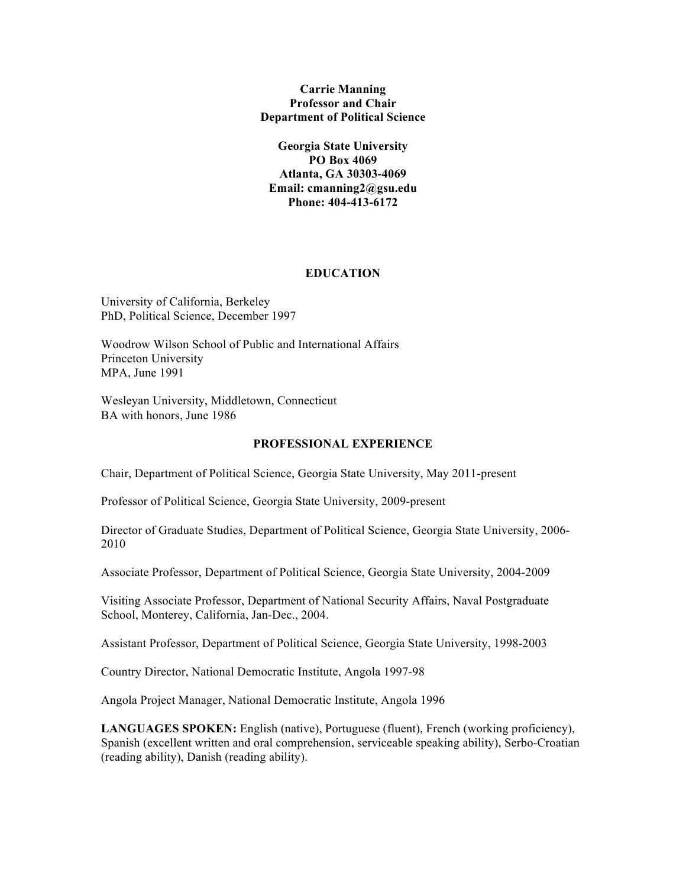## **Carrie Manning Professor and Chair Department of Political Science**

**Georgia State University PO Box 4069 Atlanta, GA 30303-4069 Email: cmanning2@gsu.edu Phone: 404-413-6172**

## **EDUCATION**

University of California, Berkeley PhD, Political Science, December 1997

Woodrow Wilson School of Public and International Affairs Princeton University MPA, June 1991

Wesleyan University, Middletown, Connecticut BA with honors, June 1986

## **PROFESSIONAL EXPERIENCE**

Chair, Department of Political Science, Georgia State University, May 2011-present

Professor of Political Science, Georgia State University, 2009-present

Director of Graduate Studies, Department of Political Science, Georgia State University, 2006- 2010

Associate Professor, Department of Political Science, Georgia State University, 2004-2009

Visiting Associate Professor, Department of National Security Affairs, Naval Postgraduate School, Monterey, California, Jan-Dec., 2004.

Assistant Professor, Department of Political Science, Georgia State University, 1998-2003

Country Director, National Democratic Institute, Angola 1997-98

Angola Project Manager, National Democratic Institute, Angola 1996

**LANGUAGES SPOKEN:** English (native), Portuguese (fluent), French (working proficiency), Spanish (excellent written and oral comprehension, serviceable speaking ability), Serbo-Croatian (reading ability), Danish (reading ability).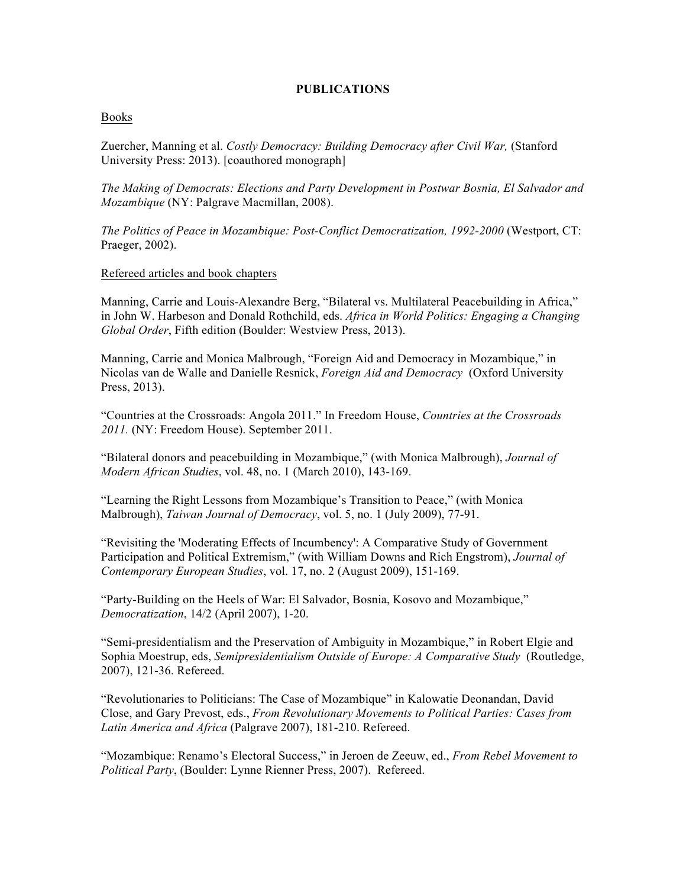## **PUBLICATIONS**

### Books

Zuercher, Manning et al. *Costly Democracy: Building Democracy after Civil War,* (Stanford University Press: 2013). [coauthored monograph]

*The Making of Democrats: Elections and Party Development in Postwar Bosnia, El Salvador and Mozambique* (NY: Palgrave Macmillan, 2008).

*The Politics of Peace in Mozambique: Post-Conflict Democratization, 1992-2000* (Westport, CT: Praeger, 2002).

#### Refereed articles and book chapters

Manning, Carrie and Louis-Alexandre Berg, "Bilateral vs. Multilateral Peacebuilding in Africa," in John W. Harbeson and Donald Rothchild, eds. *Africa in World Politics: Engaging a Changing Global Order*, Fifth edition (Boulder: Westview Press, 2013).

Manning, Carrie and Monica Malbrough, "Foreign Aid and Democracy in Mozambique," in Nicolas van de Walle and Danielle Resnick, *Foreign Aid and Democracy* (Oxford University Press, 2013).

"Countries at the Crossroads: Angola 2011." In Freedom House, *Countries at the Crossroads 2011.* (NY: Freedom House). September 2011.

"Bilateral donors and peacebuilding in Mozambique," (with Monica Malbrough), *Journal of Modern African Studies*, vol. 48, no. 1 (March 2010), 143-169.

"Learning the Right Lessons from Mozambique's Transition to Peace," (with Monica Malbrough), *Taiwan Journal of Democracy*, vol. 5, no. 1 (July 2009), 77-91.

"Revisiting the 'Moderating Effects of Incumbency': A Comparative Study of Government Participation and Political Extremism," (with William Downs and Rich Engstrom), *Journal of Contemporary European Studies*, vol. 17, no. 2 (August 2009), 151-169.

"Party-Building on the Heels of War: El Salvador, Bosnia, Kosovo and Mozambique," *Democratization*, 14/2 (April 2007), 1-20.

"Semi-presidentialism and the Preservation of Ambiguity in Mozambique," in Robert Elgie and Sophia Moestrup, eds, *Semipresidentialism Outside of Europe: A Comparative Study* (Routledge, 2007), 121-36. Refereed.

"Revolutionaries to Politicians: The Case of Mozambique" in Kalowatie Deonandan, David Close, and Gary Prevost, eds., *From Revolutionary Movements to Political Parties: Cases from Latin America and Africa* (Palgrave 2007), 181-210. Refereed.

"Mozambique: Renamo's Electoral Success," in Jeroen de Zeeuw, ed., *From Rebel Movement to Political Party*, (Boulder: Lynne Rienner Press, 2007). Refereed.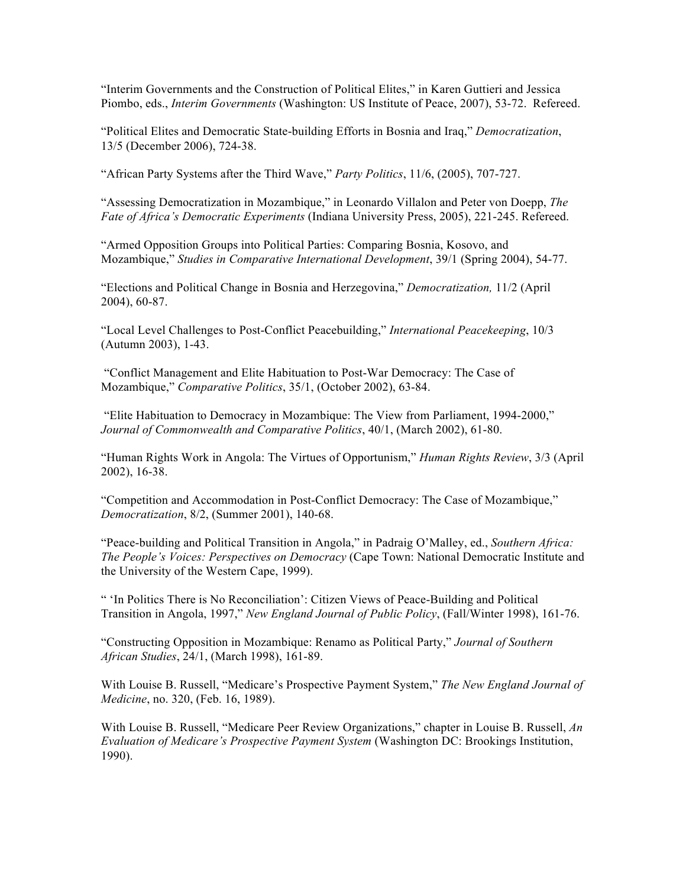"Interim Governments and the Construction of Political Elites," in Karen Guttieri and Jessica Piombo, eds., *Interim Governments* (Washington: US Institute of Peace, 2007), 53-72. Refereed.

"Political Elites and Democratic State-building Efforts in Bosnia and Iraq," *Democratization*, 13/5 (December 2006), 724-38.

"African Party Systems after the Third Wave," *Party Politics*, 11/6, (2005), 707-727.

"Assessing Democratization in Mozambique," in Leonardo Villalon and Peter von Doepp, *The Fate of Africa's Democratic Experiments* (Indiana University Press, 2005), 221-245. Refereed.

"Armed Opposition Groups into Political Parties: Comparing Bosnia, Kosovo, and Mozambique," *Studies in Comparative International Development*, 39/1 (Spring 2004), 54-77.

"Elections and Political Change in Bosnia and Herzegovina," *Democratization,* 11/2 (April 2004), 60-87.

"Local Level Challenges to Post-Conflict Peacebuilding," *International Peacekeeping*, 10/3 (Autumn 2003), 1-43.

"Conflict Management and Elite Habituation to Post-War Democracy: The Case of Mozambique," *Comparative Politics*, 35/1, (October 2002), 63-84.

"Elite Habituation to Democracy in Mozambique: The View from Parliament, 1994-2000," *Journal of Commonwealth and Comparative Politics*, 40/1, (March 2002), 61-80.

"Human Rights Work in Angola: The Virtues of Opportunism," *Human Rights Review*, 3/3 (April 2002), 16-38.

"Competition and Accommodation in Post-Conflict Democracy: The Case of Mozambique," *Democratization*, 8/2, (Summer 2001), 140-68.

"Peace-building and Political Transition in Angola," in Padraig O'Malley, ed., *Southern Africa: The People's Voices: Perspectives on Democracy* (Cape Town: National Democratic Institute and the University of the Western Cape, 1999).

" 'In Politics There is No Reconciliation': Citizen Views of Peace-Building and Political Transition in Angola, 1997," *New England Journal of Public Policy*, (Fall/Winter 1998), 161-76.

"Constructing Opposition in Mozambique: Renamo as Political Party," *Journal of Southern African Studies*, 24/1, (March 1998), 161-89.

With Louise B. Russell, "Medicare's Prospective Payment System," *The New England Journal of Medicine*, no. 320, (Feb. 16, 1989).

With Louise B. Russell, "Medicare Peer Review Organizations," chapter in Louise B. Russell, *An Evaluation of Medicare's Prospective Payment System* (Washington DC: Brookings Institution, 1990).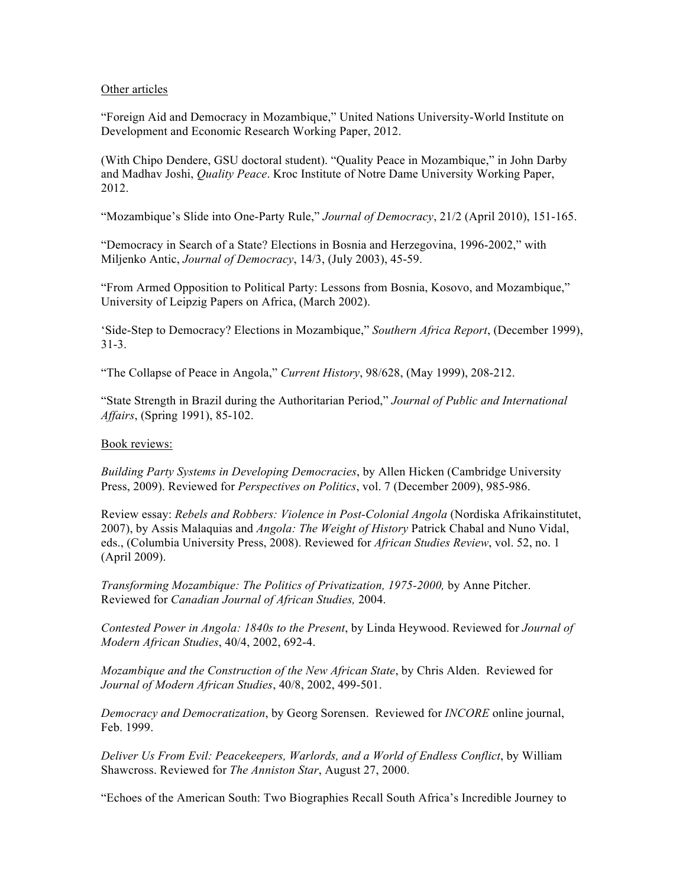## Other articles

"Foreign Aid and Democracy in Mozambique," United Nations University-World Institute on Development and Economic Research Working Paper, 2012.

(With Chipo Dendere, GSU doctoral student). "Quality Peace in Mozambique," in John Darby and Madhav Joshi, *Quality Peace*. Kroc Institute of Notre Dame University Working Paper, 2012.

"Mozambique's Slide into One-Party Rule," *Journal of Democracy*, 21/2 (April 2010), 151-165.

"Democracy in Search of a State? Elections in Bosnia and Herzegovina, 1996-2002," with Miljenko Antic, *Journal of Democracy*, 14/3, (July 2003), 45-59.

"From Armed Opposition to Political Party: Lessons from Bosnia, Kosovo, and Mozambique," University of Leipzig Papers on Africa, (March 2002).

'Side-Step to Democracy? Elections in Mozambique," *Southern Africa Report*, (December 1999), 31-3.

"The Collapse of Peace in Angola," *Current History*, 98/628, (May 1999), 208-212.

"State Strength in Brazil during the Authoritarian Period," *Journal of Public and International Affairs*, (Spring 1991), 85-102.

## Book reviews:

*Building Party Systems in Developing Democracies*, by Allen Hicken (Cambridge University Press, 2009). Reviewed for *Perspectives on Politics*, vol. 7 (December 2009), 985-986.

Review essay: *Rebels and Robbers: Violence in Post-Colonial Angola* (Nordiska Afrikainstitutet, 2007), by Assis Malaquias and *Angola: The Weight of History* Patrick Chabal and Nuno Vidal, eds., (Columbia University Press, 2008). Reviewed for *African Studies Review*, vol. 52, no. 1 (April 2009).

*Transforming Mozambique: The Politics of Privatization, 1975-2000,* by Anne Pitcher. Reviewed for *Canadian Journal of African Studies,* 2004.

*Contested Power in Angola: 1840s to the Present*, by Linda Heywood. Reviewed for *Journal of Modern African Studies*, 40/4, 2002, 692-4.

*Mozambique and the Construction of the New African State*, by Chris Alden. Reviewed for *Journal of Modern African Studies*, 40/8, 2002, 499-501.

*Democracy and Democratization*, by Georg Sorensen. Reviewed for *INCORE* online journal, Feb. 1999.

*Deliver Us From Evil: Peacekeepers, Warlords, and a World of Endless Conflict*, by William Shawcross. Reviewed for *The Anniston Star*, August 27, 2000.

"Echoes of the American South: Two Biographies Recall South Africa's Incredible Journey to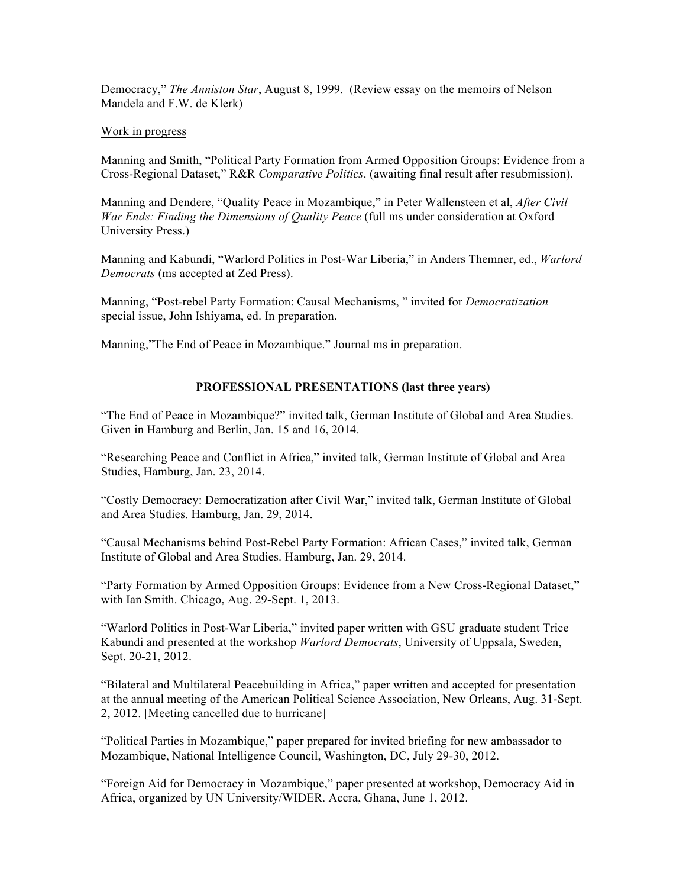Democracy," *The Anniston Star*, August 8, 1999. (Review essay on the memoirs of Nelson Mandela and F.W. de Klerk)

#### Work in progress

Manning and Smith, "Political Party Formation from Armed Opposition Groups: Evidence from a Cross-Regional Dataset," R&R *Comparative Politics*. (awaiting final result after resubmission).

Manning and Dendere, "Quality Peace in Mozambique," in Peter Wallensteen et al, *After Civil War Ends: Finding the Dimensions of Quality Peace* (full ms under consideration at Oxford University Press.)

Manning and Kabundi, "Warlord Politics in Post-War Liberia," in Anders Themner, ed., *Warlord Democrats* (ms accepted at Zed Press).

Manning, "Post-rebel Party Formation: Causal Mechanisms, " invited for *Democratization* special issue, John Ishiyama, ed. In preparation.

Manning,"The End of Peace in Mozambique." Journal ms in preparation.

#### **PROFESSIONAL PRESENTATIONS (last three years)**

"The End of Peace in Mozambique?" invited talk, German Institute of Global and Area Studies. Given in Hamburg and Berlin, Jan. 15 and 16, 2014.

"Researching Peace and Conflict in Africa," invited talk, German Institute of Global and Area Studies, Hamburg, Jan. 23, 2014.

"Costly Democracy: Democratization after Civil War," invited talk, German Institute of Global and Area Studies. Hamburg, Jan. 29, 2014.

"Causal Mechanisms behind Post-Rebel Party Formation: African Cases," invited talk, German Institute of Global and Area Studies. Hamburg, Jan. 29, 2014.

"Party Formation by Armed Opposition Groups: Evidence from a New Cross-Regional Dataset," with Ian Smith. Chicago, Aug. 29-Sept. 1, 2013.

"Warlord Politics in Post-War Liberia," invited paper written with GSU graduate student Trice Kabundi and presented at the workshop *Warlord Democrats*, University of Uppsala, Sweden, Sept. 20-21, 2012.

"Bilateral and Multilateral Peacebuilding in Africa," paper written and accepted for presentation at the annual meeting of the American Political Science Association, New Orleans, Aug. 31-Sept. 2, 2012. [Meeting cancelled due to hurricane]

"Political Parties in Mozambique," paper prepared for invited briefing for new ambassador to Mozambique, National Intelligence Council, Washington, DC, July 29-30, 2012.

"Foreign Aid for Democracy in Mozambique," paper presented at workshop, Democracy Aid in Africa, organized by UN University/WIDER. Accra, Ghana, June 1, 2012.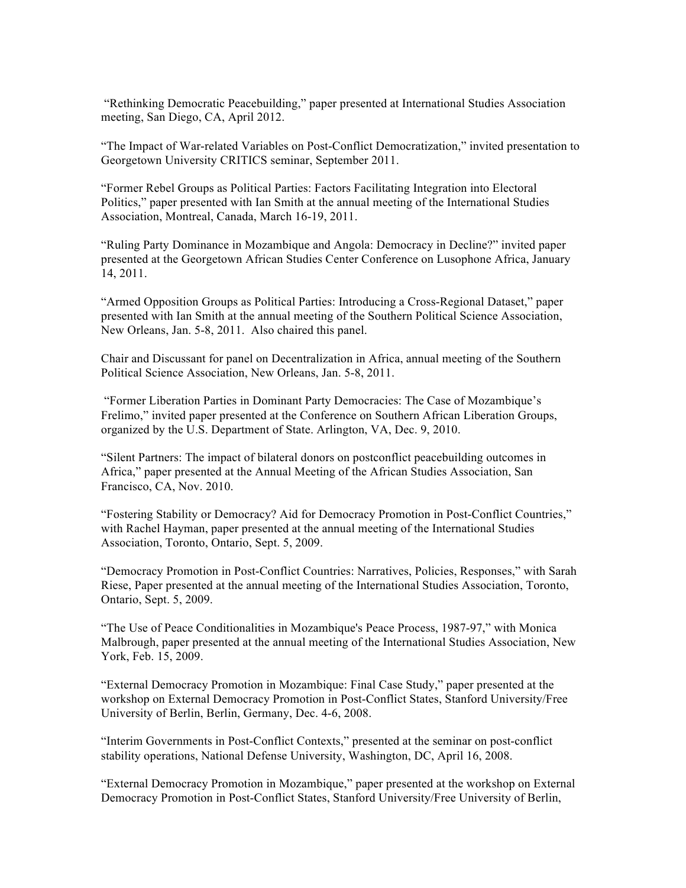"Rethinking Democratic Peacebuilding," paper presented at International Studies Association meeting, San Diego, CA, April 2012.

"The Impact of War-related Variables on Post-Conflict Democratization," invited presentation to Georgetown University CRITICS seminar, September 2011.

"Former Rebel Groups as Political Parties: Factors Facilitating Integration into Electoral Politics," paper presented with Ian Smith at the annual meeting of the International Studies Association, Montreal, Canada, March 16-19, 2011.

"Ruling Party Dominance in Mozambique and Angola: Democracy in Decline?" invited paper presented at the Georgetown African Studies Center Conference on Lusophone Africa, January 14, 2011.

"Armed Opposition Groups as Political Parties: Introducing a Cross-Regional Dataset," paper presented with Ian Smith at the annual meeting of the Southern Political Science Association, New Orleans, Jan. 5-8, 2011. Also chaired this panel.

Chair and Discussant for panel on Decentralization in Africa, annual meeting of the Southern Political Science Association, New Orleans, Jan. 5-8, 2011.

"Former Liberation Parties in Dominant Party Democracies: The Case of Mozambique's Frelimo," invited paper presented at the Conference on Southern African Liberation Groups, organized by the U.S. Department of State. Arlington, VA, Dec. 9, 2010.

"Silent Partners: The impact of bilateral donors on postconflict peacebuilding outcomes in Africa," paper presented at the Annual Meeting of the African Studies Association, San Francisco, CA, Nov. 2010.

"Fostering Stability or Democracy? Aid for Democracy Promotion in Post-Conflict Countries," with Rachel Hayman, paper presented at the annual meeting of the International Studies Association, Toronto, Ontario, Sept. 5, 2009.

"Democracy Promotion in Post-Conflict Countries: Narratives, Policies, Responses," with Sarah Riese, Paper presented at the annual meeting of the International Studies Association, Toronto, Ontario, Sept. 5, 2009.

"The Use of Peace Conditionalities in Mozambique's Peace Process, 1987-97," with Monica Malbrough, paper presented at the annual meeting of the International Studies Association, New York, Feb. 15, 2009.

"External Democracy Promotion in Mozambique: Final Case Study," paper presented at the workshop on External Democracy Promotion in Post-Conflict States, Stanford University/Free University of Berlin, Berlin, Germany, Dec. 4-6, 2008.

"Interim Governments in Post-Conflict Contexts," presented at the seminar on post-conflict stability operations, National Defense University, Washington, DC, April 16, 2008.

"External Democracy Promotion in Mozambique," paper presented at the workshop on External Democracy Promotion in Post-Conflict States, Stanford University/Free University of Berlin,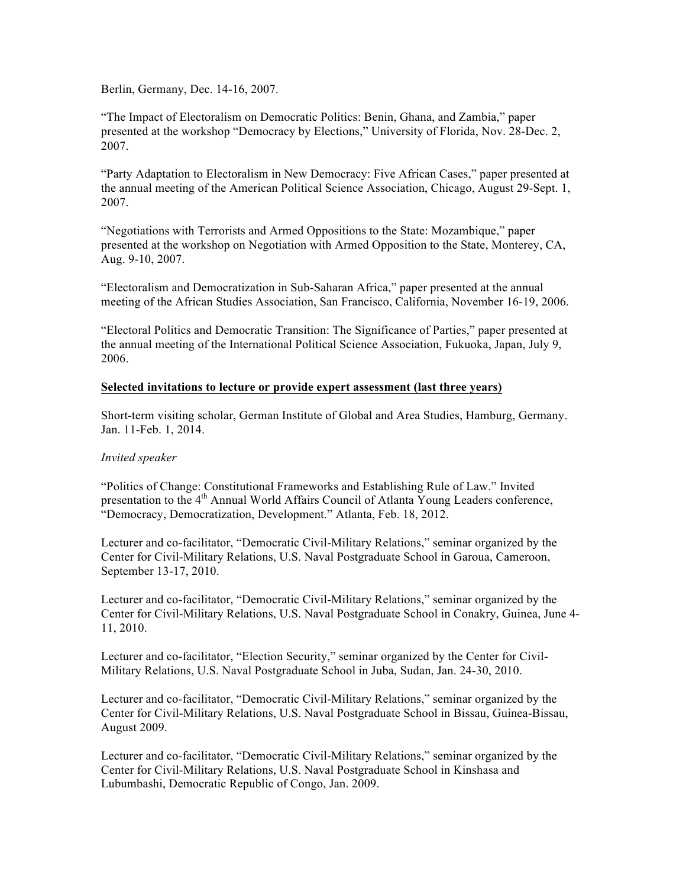Berlin, Germany, Dec. 14-16, 2007.

"The Impact of Electoralism on Democratic Politics: Benin, Ghana, and Zambia," paper presented at the workshop "Democracy by Elections," University of Florida, Nov. 28-Dec. 2, 2007.

"Party Adaptation to Electoralism in New Democracy: Five African Cases," paper presented at the annual meeting of the American Political Science Association, Chicago, August 29-Sept. 1, 2007.

"Negotiations with Terrorists and Armed Oppositions to the State: Mozambique," paper presented at the workshop on Negotiation with Armed Opposition to the State, Monterey, CA, Aug. 9-10, 2007.

"Electoralism and Democratization in Sub-Saharan Africa," paper presented at the annual meeting of the African Studies Association, San Francisco, California, November 16-19, 2006.

"Electoral Politics and Democratic Transition: The Significance of Parties," paper presented at the annual meeting of the International Political Science Association, Fukuoka, Japan, July 9, 2006.

### **Selected invitations to lecture or provide expert assessment (last three years)**

Short-term visiting scholar, German Institute of Global and Area Studies, Hamburg, Germany. Jan. 11-Feb. 1, 2014.

## *Invited speaker*

"Politics of Change: Constitutional Frameworks and Establishing Rule of Law." Invited presentation to the 4<sup>th</sup> Annual World Affairs Council of Atlanta Young Leaders conference, "Democracy, Democratization, Development." Atlanta, Feb. 18, 2012.

Lecturer and co-facilitator, "Democratic Civil-Military Relations," seminar organized by the Center for Civil-Military Relations, U.S. Naval Postgraduate School in Garoua, Cameroon, September 13-17, 2010.

Lecturer and co-facilitator, "Democratic Civil-Military Relations," seminar organized by the Center for Civil-Military Relations, U.S. Naval Postgraduate School in Conakry, Guinea, June 4- 11, 2010.

Lecturer and co-facilitator, "Election Security," seminar organized by the Center for Civil-Military Relations, U.S. Naval Postgraduate School in Juba, Sudan, Jan. 24-30, 2010.

Lecturer and co-facilitator, "Democratic Civil-Military Relations," seminar organized by the Center for Civil-Military Relations, U.S. Naval Postgraduate School in Bissau, Guinea-Bissau, August 2009.

Lecturer and co-facilitator, "Democratic Civil-Military Relations," seminar organized by the Center for Civil-Military Relations, U.S. Naval Postgraduate School in Kinshasa and Lubumbashi, Democratic Republic of Congo, Jan. 2009.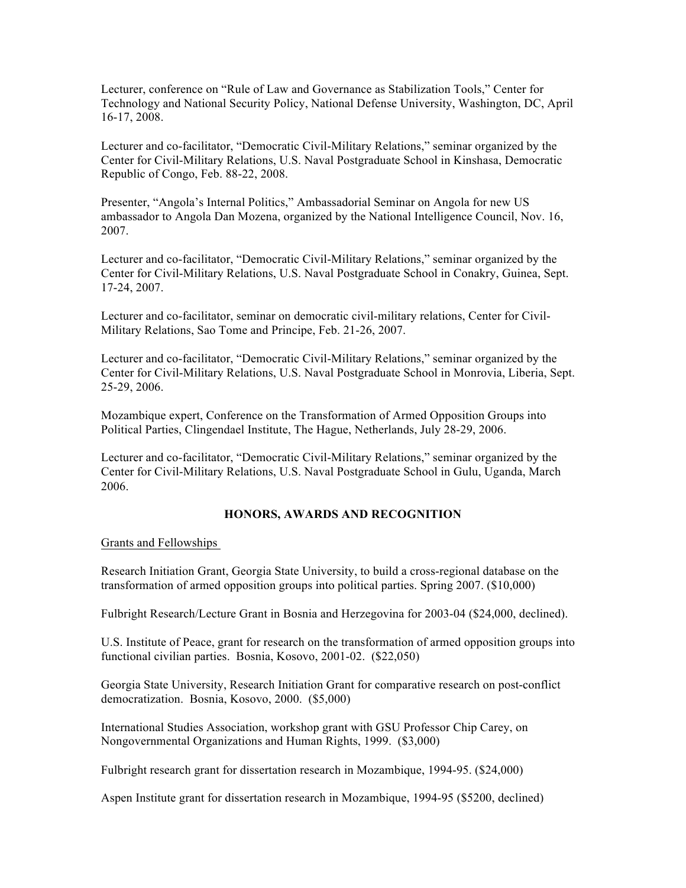Lecturer, conference on "Rule of Law and Governance as Stabilization Tools," Center for Technology and National Security Policy, National Defense University, Washington, DC, April 16-17, 2008.

Lecturer and co-facilitator, "Democratic Civil-Military Relations," seminar organized by the Center for Civil-Military Relations, U.S. Naval Postgraduate School in Kinshasa, Democratic Republic of Congo, Feb. 88-22, 2008.

Presenter, "Angola's Internal Politics," Ambassadorial Seminar on Angola for new US ambassador to Angola Dan Mozena, organized by the National Intelligence Council, Nov. 16, 2007.

Lecturer and co-facilitator, "Democratic Civil-Military Relations," seminar organized by the Center for Civil-Military Relations, U.S. Naval Postgraduate School in Conakry, Guinea, Sept. 17-24, 2007.

Lecturer and co-facilitator, seminar on democratic civil-military relations, Center for Civil-Military Relations, Sao Tome and Principe, Feb. 21-26, 2007.

Lecturer and co-facilitator, "Democratic Civil-Military Relations," seminar organized by the Center for Civil-Military Relations, U.S. Naval Postgraduate School in Monrovia, Liberia, Sept. 25-29, 2006.

Mozambique expert, Conference on the Transformation of Armed Opposition Groups into Political Parties, Clingendael Institute, The Hague, Netherlands, July 28-29, 2006.

Lecturer and co-facilitator, "Democratic Civil-Military Relations," seminar organized by the Center for Civil-Military Relations, U.S. Naval Postgraduate School in Gulu, Uganda, March 2006.

#### **HONORS, AWARDS AND RECOGNITION**

Grants and Fellowships

Research Initiation Grant, Georgia State University, to build a cross-regional database on the transformation of armed opposition groups into political parties. Spring 2007. (\$10,000)

Fulbright Research/Lecture Grant in Bosnia and Herzegovina for 2003-04 (\$24,000, declined).

U.S. Institute of Peace, grant for research on the transformation of armed opposition groups into functional civilian parties. Bosnia, Kosovo, 2001-02. (\$22,050)

Georgia State University, Research Initiation Grant for comparative research on post-conflict democratization. Bosnia, Kosovo, 2000. (\$5,000)

International Studies Association, workshop grant with GSU Professor Chip Carey, on Nongovernmental Organizations and Human Rights, 1999. (\$3,000)

Fulbright research grant for dissertation research in Mozambique, 1994-95. (\$24,000)

Aspen Institute grant for dissertation research in Mozambique, 1994-95 (\$5200, declined)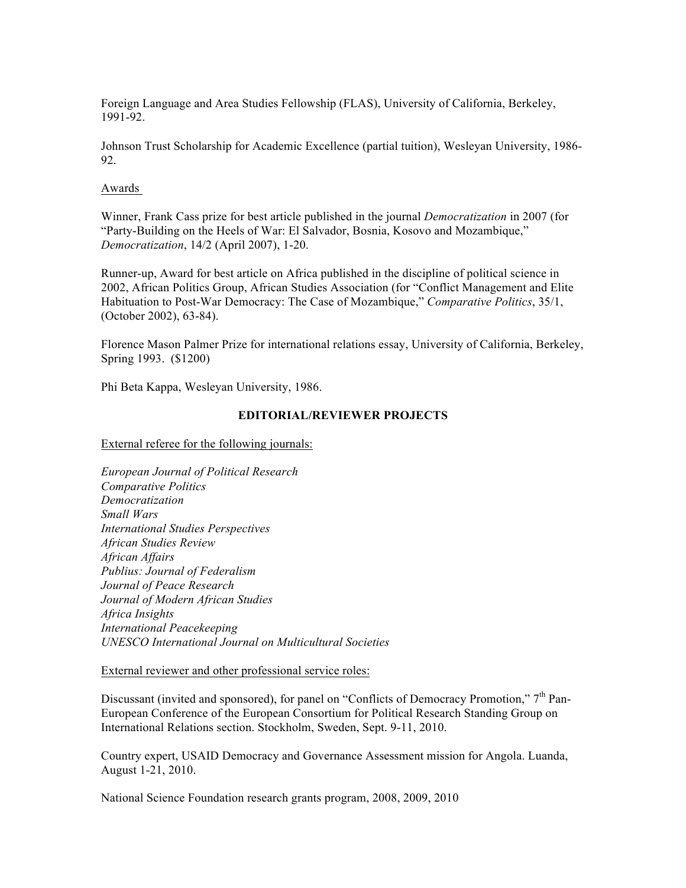Foreign Language and Area Studies Fellowship (FLAS), University of California, Berkeley, 1991-92.

Johnson Trust Scholarship for Academic Excellence (partial tuition), Wesleyan University, 1986- 92.

#### Awards

Winner, Frank Cass prize for best article published in the journal *Democratization* in 2007 (for "Party-Building on the Heels of War: El Salvador, Bosnia, Kosovo and Mozambique," *Democratization*, 14/2 (April 2007), 1-20.

Runner-up, Award for best article on Africa published in the discipline of political science in 2002, African Politics Group, African Studies Association (for "Conflict Management and Elite Habituation to Post-War Democracy: The Case of Mozambique," *Comparative Politics*, 35/1, (October 2002), 63-84).

Florence Mason Palmer Prize for international relations essay, University of California, Berkeley, Spring 1993. (\$1200)

Phi Beta Kappa, Wesleyan University, 1986.

#### **EDITORIAL/REVIEWER PROJECTS**

External referee for the following journals:

*European Journal of Political Research Comparative Politics Democratization Small Wars International Studies Perspectives African Studies Review African Affairs Publius: Journal of Federalism Journal of Peace Research Journal of Modern African Studies Africa Insights International Peacekeeping UNESCO International Journal on Multicultural Societies*

External reviewer and other professional service roles:

Discussant (invited and sponsored), for panel on "Conflicts of Democracy Promotion," 7<sup>th</sup> Pan-European Conference of the European Consortium for Political Research Standing Group on International Relations section. Stockholm, Sweden, Sept. 9-11, 2010.

Country expert, USAID Democracy and Governance Assessment mission for Angola. Luanda, August 1-21, 2010.

National Science Foundation research grants program, 2008, 2009, 2010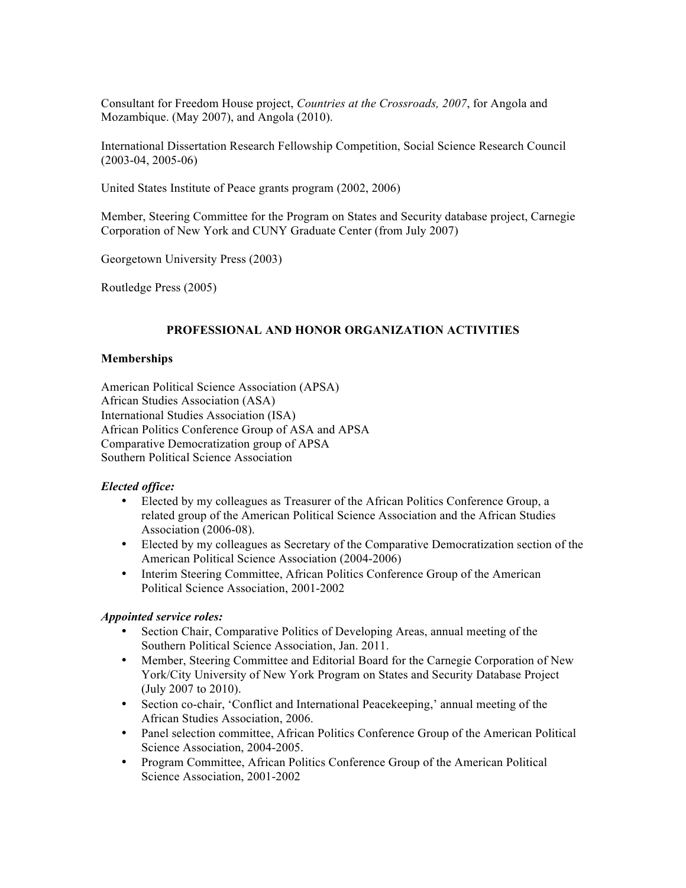Consultant for Freedom House project, *Countries at the Crossroads, 2007*, for Angola and Mozambique. (May 2007), and Angola (2010).

International Dissertation Research Fellowship Competition, Social Science Research Council (2003-04, 2005-06)

United States Institute of Peace grants program (2002, 2006)

Member, Steering Committee for the Program on States and Security database project, Carnegie Corporation of New York and CUNY Graduate Center (from July 2007)

Georgetown University Press (2003)

Routledge Press (2005)

## **PROFESSIONAL AND HONOR ORGANIZATION ACTIVITIES**

## **Memberships**

American Political Science Association (APSA) African Studies Association (ASA) International Studies Association (ISA) African Politics Conference Group of ASA and APSA Comparative Democratization group of APSA Southern Political Science Association

## *Elected office:*

- Elected by my colleagues as Treasurer of the African Politics Conference Group, a related group of the American Political Science Association and the African Studies Association (2006-08).
- Elected by my colleagues as Secretary of the Comparative Democratization section of the American Political Science Association (2004-2006)
- Interim Steering Committee, African Politics Conference Group of the American Political Science Association, 2001-2002

#### *Appointed service roles:*

- Section Chair, Comparative Politics of Developing Areas, annual meeting of the Southern Political Science Association, Jan. 2011.
- Member, Steering Committee and Editorial Board for the Carnegie Corporation of New York/City University of New York Program on States and Security Database Project (July 2007 to 2010).
- Section co-chair, 'Conflict and International Peacekeeping,' annual meeting of the African Studies Association, 2006.
- Panel selection committee, African Politics Conference Group of the American Political Science Association, 2004-2005.
- Program Committee, African Politics Conference Group of the American Political Science Association, 2001-2002